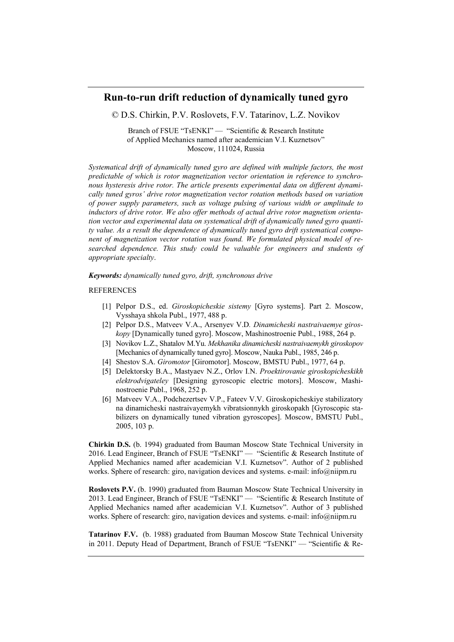## **Run-to-run drift reduction of dynamically tuned gyro**

© D.S. Chirkin, P.V. Roslovets, F.V. Tatarinov, L.Z. Novikov

Branch of FSUE "TsENKI" — "Scientific & Research Institute of Applied Mechanics named after academician V.I. Kuznetsov" Moscow, 111024, Russia

*Systematical drift of dynamically tuned gyro are defined with multiple factors, the most predictable of which is rotor magnetization vector orientation in reference to synchronous hysteresis drive rotor. The article presents experimental data on different dynamically tuned gyros' drive rotor magnetization vector rotation methods based on variation of power supply parameters, such as voltage pulsing of various width or amplitude to inductors of drive rotor. We also offer methods of actual drive rotor magnetism orientation vector and experimental data on systematical drift of dynamically tuned gyro quantity value. As a result the dependence of dynamically tuned gyro drift systematical component of magnetization vector rotation was found. We formulated physical model of researched dependence. This study could be valuable for engineers and students of appropriate specialty*.

*Keywords: dynamically tuned gyro, drift, synchronous drive*

## REFERENCES

- [1] Pelpor D.S., ed. *Giroskopicheskie sistemy* [Gyro systems]. Part 2. Moscow, Vysshaya shkola Publ., 1977, 488 p.
- [2] Pelpor D.S., Matveev V.A., Arsenyev V.D*. Dinamicheski nastraivaemye giroskopy* [Dynamically tuned gyro]. Moscow, Mashinostroenie Publ., 1988, 264 p.
- [3] Novikov L.Z., Shatalov M.Yu. *Mekhanika dinamicheski nastraivaemykh giroskopov* [Mechanics of dynamically tuned gyro]. Moscow, Nauka Publ., 1985, 246 p.
- [4] Shestov S.A. *Giromotor* [Giromotor]. Moscow, BMSTU Publ., 1977, 64 p.
- [5] Delektorsky B.A., Mastyaev N.Z., Orlov I.N. *Proektirovanie giroskopicheskikh elektrodvigateley* [Designing gyroscopic electric motors]. Moscow, Mashinostroenie Publ., 1968, 252 p.
- [6] Matveev V.A., Podchezertsev V.P., Fateev V.V. Giroskopicheskiye stabilizatory na dinamicheski nastraivayemykh vibratsionnykh giroskopakh [Gyroscopic stabilizers on dynamically tuned vibration gyroscopes]. Moscow, BMSTU Publ., 2005, 103 p.

**Chirkin D.S.** (b. 1994) graduated from Bauman Moscow State Technical University in 2016. Lead Engineer, Branch of FSUE "TsENKI" — "Scientific & Research Institute of Applied Mechanics named after academician V.I. Kuznetsov". Author of 2 published works. Sphere of research: giro, navigation devices and systems. e-mail: info@niipm.ru

**Roslovets P.V.** (b. 1990) graduated from Bauman Moscow State Technical University in 2013. Lead Engineer, Branch of FSUE "TsENKI" — "Scientific & Research Institute of Applied Mechanics named after academician V.I. Kuznetsov". Author of 3 published works. Sphere of research: giro, navigation devices and systems. e-mail: info@niipm.ru

**Tatarinov F.V.** (b. 1988) graduated from Bauman Moscow State Technical University in 2011. Deputy Head of Department, Branch of FSUE "TsENKI" — "Scientific & Re